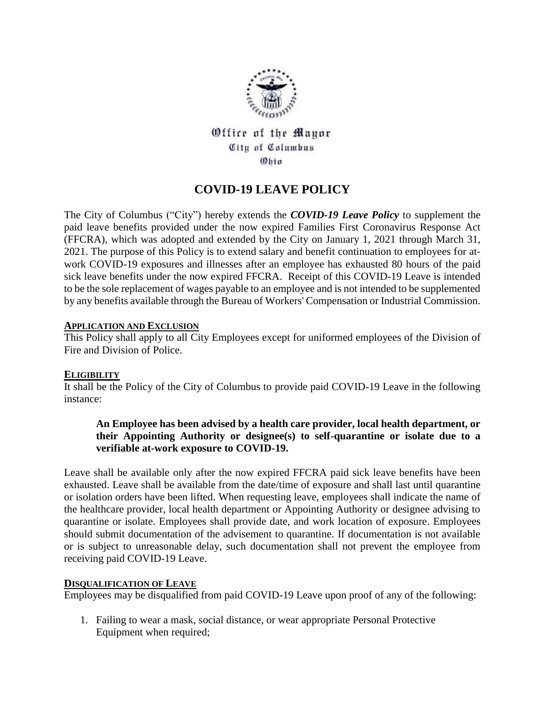

Office of the Mayor City of Columbus  $@$ hin

# **COVID-19 LEAVE POLICY**

The City of Columbus ("City") hereby extends the *COVID-19 Leave Policy* to supplement the paid leave benefits provided under the now expired Families First Coronavirus Response Act (FFCRA), which was adopted and extended by the City on January 1, 2021 through March 31, 2021. The purpose of this Policy is to extend salary and benefit continuation to employees for atwork COVID-19 exposures and illnesses after an employee has exhausted 80 hours of the paid sick leave benefits under the now expired FFCRA. Receipt of this COVID-19 Leave is intended to be the sole replacement of wages payable to an employee and is not intended to be supplemented by any benefits available through the Bureau of Workers' Compensation or Industrial Commission.

## **APPLICATION AND EXCLUSION**

This Policy shall apply to all City Employees except for uniformed employees of the Division of Fire and Division of Police.

## **ELIGIBILITY**

It shall be the Policy of the City of Columbus to provide paid COVID-19 Leave in the following instance:

## **An Employee has been advised by a health care provider, local health department, or their Appointing Authority or designee(s) to self-quarantine or isolate due to a verifiable at-work exposure to COVID-19.**

Leave shall be available only after the now expired FFCRA paid sick leave benefits have been exhausted. Leave shall be available from the date/time of exposure and shall last until quarantine or isolation orders have been lifted. When requesting leave, employees shall indicate the name of the healthcare provider, local health department or Appointing Authority or designee advising to quarantine or isolate. Employees shall provide date, and work location of exposure. Employees should submit documentation of the advisement to quarantine. If documentation is not available or is subject to unreasonable delay, such documentation shall not prevent the employee from receiving paid COVID-19 Leave.

## **DISQUALIFICATION OF LEAVE**

Employees may be disqualified from paid COVID-19 Leave upon proof of any of the following:

1. Failing to wear a mask, social distance, or wear appropriate Personal Protective Equipment when required;